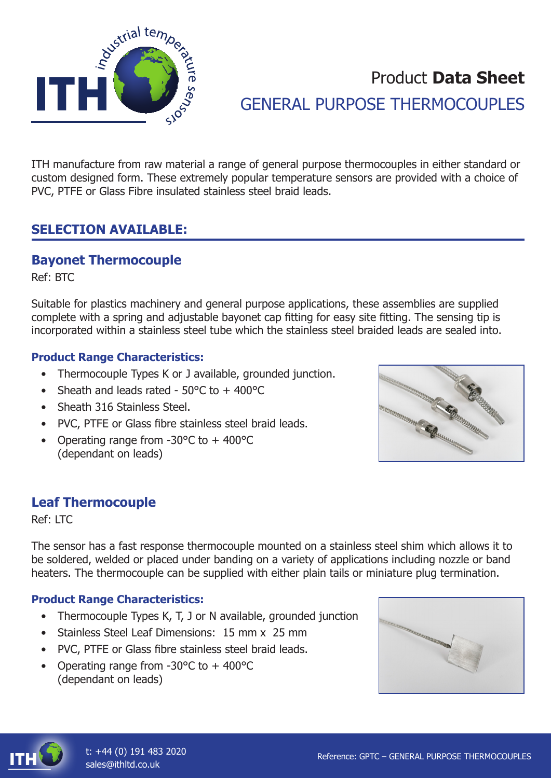

# Product **Data Sheet** GENERAL PURPOSE THERMOCOUPLES

ITH manufacture from raw material a range of general purpose thermocouples in either standard or custom designed form. These extremely popular temperature sensors are provided with a choice of PVC, PTFE or Glass Fibre insulated stainless steel braid leads.

## **SELECTION AVAILABLE:**

### **Bayonet Thermocouple**

Ref: BTC

Suitable for plastics machinery and general purpose applications, these assemblies are supplied complete with a spring and adjustable bayonet cap fitting for easy site fitting. The sensing tip is incorporated within a stainless steel tube which the stainless steel braided leads are sealed into.

#### **Product Range Characteristics:**

- Thermocouple Types K or J available, grounded junction.
- Sheath and leads rated  $50^{\circ}$ C to  $+400^{\circ}$ C
- Sheath 316 Stainless Steel.
- PVC, PTFE or Glass fibre stainless steel braid leads.
- Operating range from -30°C to + 400°C (dependant on leads)



#### **Leaf Thermocouple**

Ref: LTC

The sensor has a fast response thermocouple mounted on a stainless steel shim which allows it to be soldered, welded or placed under banding on a variety of applications including nozzle or band heaters. The thermocouple can be supplied with either plain tails or miniature plug termination.

#### **Product Range Characteristics:**

- Thermocouple Types K, T, J or N available, grounded junction
- Stainless Steel Leaf Dimensions: 15 mm x 25 mm
- PVC, PTFE or Glass fibre stainless steel braid leads.
- Operating range from -30°C to + 400°C (dependant on leads)



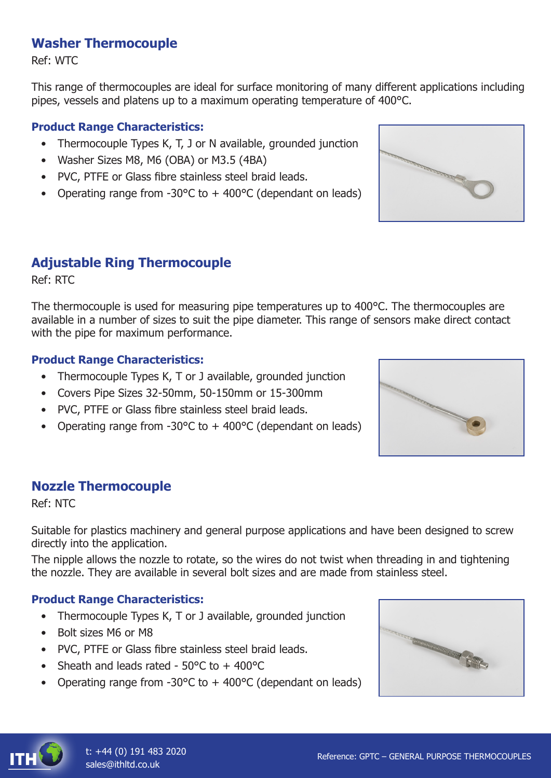## **Washer Thermocouple**

Ref: WTC

This range of thermocouples are ideal for surface monitoring of many different applications including pipes, vessels and platens up to a maximum operating temperature of 400°C.

#### **Product Range Characteristics:**

- Thermocouple Types K, T, J or N available, grounded junction
- Washer Sizes M8, M6 (OBA) or M3.5 (4BA)
- PVC, PTFE or Glass fibre stainless steel braid leads.
- Operating range from -30 $\degree$ C to + 400 $\degree$ C (dependant on leads)

## **Adjustable Ring Thermocouple**

Ref: RTC

The thermocouple is used for measuring pipe temperatures up to 400°C. The thermocouples are available in a number of sizes to suit the pipe diameter. This range of sensors make direct contact with the pipe for maximum performance.

#### **Product Range Characteristics:**

- Thermocouple Types K, T or J available, grounded junction
- Covers Pipe Sizes 32-50mm, 50-150mm or 15-300mm
- PVC, PTFE or Glass fibre stainless steel braid leads.
- Operating range from  $-30^{\circ}$ C to  $+400^{\circ}$ C (dependant on leads)

#### **Nozzle Thermocouple**

Ref: NTC

Suitable for plastics machinery and general purpose applications and have been designed to screw directly into the application.

The nipple allows the nozzle to rotate, so the wires do not twist when threading in and tightening the nozzle. They are available in several bolt sizes and are made from stainless steel.

#### **Product Range Characteristics:**

- Thermocouple Types K, T or J available, grounded junction
- Bolt sizes M6 or M8
- PVC, PTFE or Glass fibre stainless steel braid leads.
- Sheath and leads rated  $50^{\circ}$ C to  $+400^{\circ}$ C
- Operating range from  $-30^{\circ}$ C to  $+400^{\circ}$ C (dependant on leads)